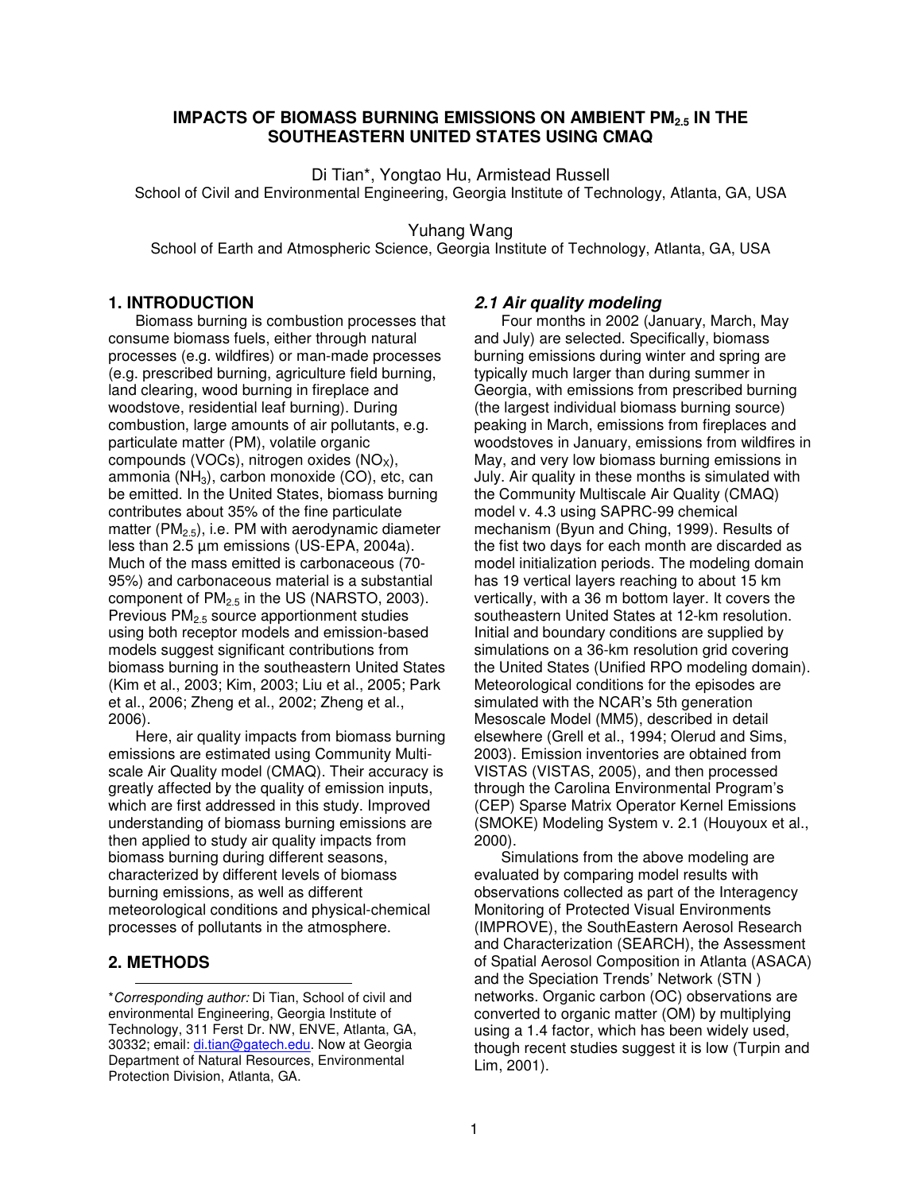## **IMPACTS OF BIOMASS BURNING EMISSIONS ON AMBIENT PM2.5 IN THE SOUTHEASTERN UNITED STATES USING CMAQ**

Di Tian\*, Yongtao Hu, Armistead Russell

School of Civil and Environmental Engineering, Georgia Institute of Technology, Atlanta, GA, USA

Yuhang Wang

School of Earth and Atmospheric Science, Georgia Institute of Technology, Atlanta, GA, USA

### **1. INTRODUCTION**

Biomass burning is combustion processes that consume biomass fuels, either through natural processes (e.g. wildfires) or man-made processes (e.g. prescribed burning, agriculture field burning, land clearing, wood burning in fireplace and woodstove, residential leaf burning). During combustion, large amounts of air pollutants, e.g. particulate matter (PM), volatile organic compounds (VOCs), nitrogen oxides  $(NO<sub>x</sub>)$ , ammonia ( $NH<sub>3</sub>$ ), carbon monoxide (CO), etc, can be emitted. In the United States, biomass burning contributes about 35% of the fine particulate matter ( $PM<sub>2.5</sub>$ ), i.e. PM with aerodynamic diameter less than 2.5 µm emissions (US-EPA, 2004a). Much of the mass emitted is carbonaceous (70- 95%) and carbonaceous material is a substantial component of  $PM<sub>2.5</sub>$  in the US (NARSTO, 2003). Previous PM2.5 source apportionment studies using both receptor models and emission-based models suggest significant contributions from biomass burning in the southeastern United States (Kim et al., 2003; Kim, 2003; Liu et al., 2005; Park et al., 2006; Zheng et al., 2002; Zheng et al., 2006).

Here, air quality impacts from biomass burning emissions are estimated using Community Multiscale Air Quality model (CMAQ). Their accuracy is greatly affected by the quality of emission inputs, which are first addressed in this study. Improved understanding of biomass burning emissions are then applied to study air quality impacts from biomass burning during different seasons, characterized by different levels of biomass burning emissions, as well as different meteorological conditions and physical-chemical processes of pollutants in the atmosphere.

# **2. METHODS**

### *2.1 Air quality modeling*

Four months in 2002 (January, March, May and July) are selected. Specifically, biomass burning emissions during winter and spring are typically much larger than during summer in Georgia, with emissions from prescribed burning (the largest individual biomass burning source) peaking in March, emissions from fireplaces and woodstoves in January, emissions from wildfires in May, and very low biomass burning emissions in July. Air quality in these months is simulated with the Community Multiscale Air Quality (CMAQ) model v. 4.3 using SAPRC-99 chemical mechanism (Byun and Ching, 1999). Results of the fist two days for each month are discarded as model initialization periods. The modeling domain has 19 vertical layers reaching to about 15 km vertically, with a 36 m bottom layer. It covers the southeastern United States at 12-km resolution. Initial and boundary conditions are supplied by simulations on a 36-km resolution grid covering the United States (Unified RPO modeling domain). Meteorological conditions for the episodes are simulated with the NCAR's 5th generation Mesoscale Model (MM5), described in detail elsewhere (Grell et al., 1994; Olerud and Sims, 2003). Emission inventories are obtained from VISTAS (VISTAS, 2005), and then processed through the Carolina Environmental Program's (CEP) Sparse Matrix Operator Kernel Emissions (SMOKE) Modeling System v. 2.1 (Houyoux et al., 2000).

Simulations from the above modeling are evaluated by comparing model results with observations collected as part of the Interagency Monitoring of Protected Visual Environments (IMPROVE), the SouthEastern Aerosol Research and Characterization (SEARCH), the Assessment of Spatial Aerosol Composition in Atlanta (ASACA) and the Speciation Trends' Network (STN ) networks. Organic carbon (OC) observations are converted to organic matter (OM) by multiplying using a 1.4 factor, which has been widely used, though recent studies suggest it is low (Turpin and Lim, 2001).

<sup>\*</sup>*Corresponding author:* Di Tian, School of civil and environmental Engineering, Georgia Institute of Technology, 311 Ferst Dr. NW, ENVE, Atlanta, GA, 30332; email: di.tian@gatech.edu. Now at Georgia Department of Natural Resources, Environmental Protection Division, Atlanta, GA.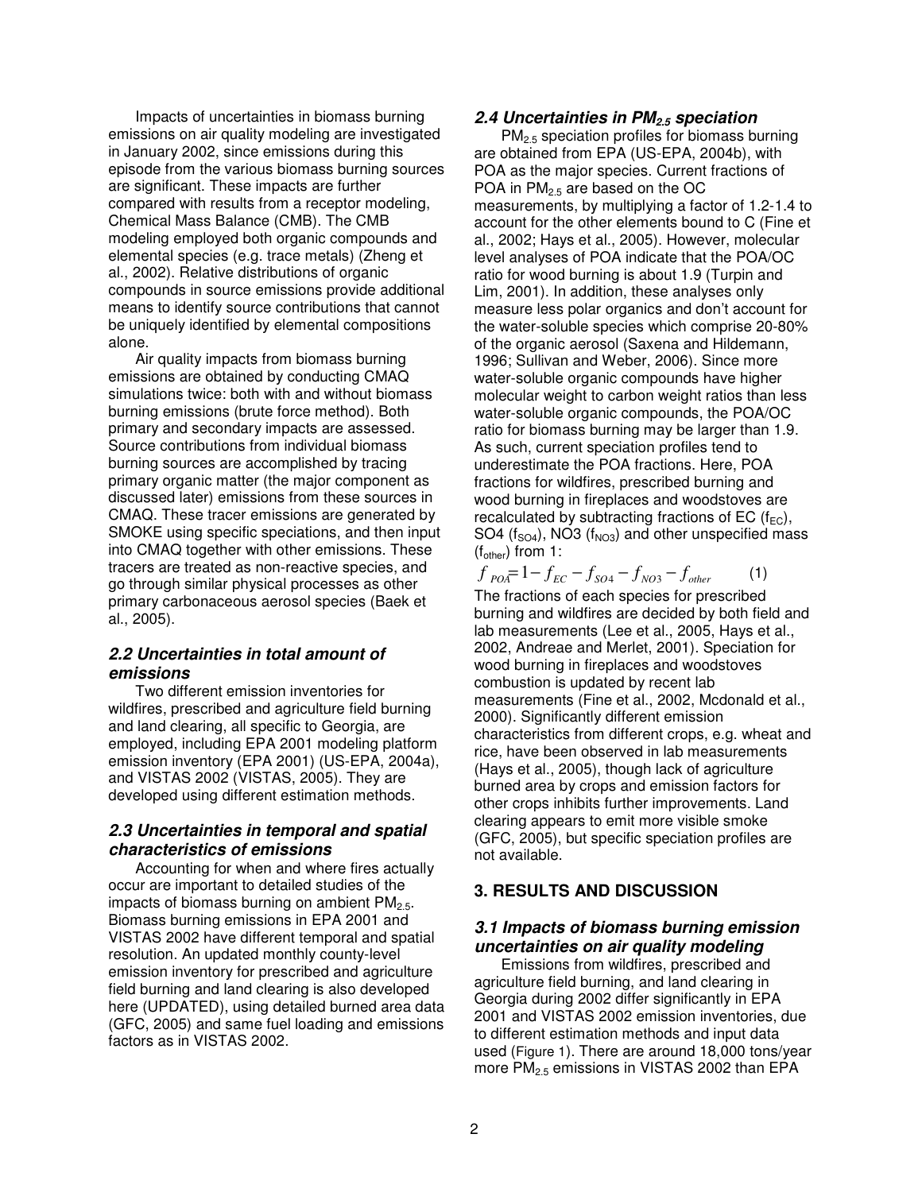Impacts of uncertainties in biomass burning emissions on air quality modeling are investigated in January 2002, since emissions during this episode from the various biomass burning sources are significant. These impacts are further compared with results from a receptor modeling, Chemical Mass Balance (CMB). The CMB modeling employed both organic compounds and elemental species (e.g. trace metals) (Zheng et al., 2002). Relative distributions of organic compounds in source emissions provide additional means to identify source contributions that cannot be uniquely identified by elemental compositions alone.

Air quality impacts from biomass burning emissions are obtained by conducting CMAQ simulations twice: both with and without biomass burning emissions (brute force method). Both primary and secondary impacts are assessed. Source contributions from individual biomass burning sources are accomplished by tracing primary organic matter (the major component as discussed later) emissions from these sources in CMAQ. These tracer emissions are generated by SMOKE using specific speciations, and then input into CMAQ together with other emissions. These tracers are treated as non-reactive species, and go through similar physical processes as other primary carbonaceous aerosol species (Baek et al., 2005).

# *2.2 Uncertainties in total amount of emissions*

Two different emission inventories for wildfires, prescribed and agriculture field burning and land clearing, all specific to Georgia, are employed, including EPA 2001 modeling platform emission inventory (EPA 2001) (US-EPA, 2004a), and VISTAS 2002 (VISTAS, 2005). They are developed using different estimation methods.

# *2.3 Uncertainties in temporal and spatial characteristics of emissions*

Accounting for when and where fires actually occur are important to detailed studies of the impacts of biomass burning on ambient  $PM_{2.5}$ . Biomass burning emissions in EPA 2001 and VISTAS 2002 have different temporal and spatial resolution. An updated monthly county-level emission inventory for prescribed and agriculture field burning and land clearing is also developed here (UPDATED), using detailed burned area data (GFC, 2005) and same fuel loading and emissions factors as in VISTAS 2002.

## *2.4 Uncertainties in PM2.5 speciation*

PM2.5 speciation profiles for biomass burning are obtained from EPA (US-EPA, 2004b), with POA as the major species. Current fractions of POA in  $PM<sub>2.5</sub>$  are based on the OC measurements, by multiplying a factor of 1.2-1.4 to account for the other elements bound to C (Fine et al., 2002; Hays et al., 2005). However, molecular level analyses of POA indicate that the POA/OC ratio for wood burning is about 1.9 (Turpin and Lim, 2001). In addition, these analyses only measure less polar organics and don't account for the water-soluble species which comprise 20-80% of the organic aerosol (Saxena and Hildemann, 1996; Sullivan and Weber, 2006). Since more water-soluble organic compounds have higher molecular weight to carbon weight ratios than less water-soluble organic compounds, the POA/OC ratio for biomass burning may be larger than 1.9. As such, current speciation profiles tend to underestimate the POA fractions. Here, POA fractions for wildfires, prescribed burning and wood burning in fireplaces and woodstoves are recalculated by subtracting fractions of EC ( $f_{EC}$ ), SO4 ( $f<sub>SO4</sub>$ ), NO3 ( $f<sub>NO3</sub>$ ) and other unspecified mass  $(f_{other})$  from 1:

 $f_{POA} = 1 - f_{EC} - f_{SO4} - f_{NO3} - f_{other}$  (1) The fractions of each species for prescribed burning and wildfires are decided by both field and lab measurements (Lee et al., 2005, Hays et al., 2002, Andreae and Merlet, 2001). Speciation for wood burning in fireplaces and woodstoves combustion is updated by recent lab measurements (Fine et al., 2002, Mcdonald et al., 2000). Significantly different emission characteristics from different crops, e.g. wheat and rice, have been observed in lab measurements (Hays et al., 2005), though lack of agriculture burned area by crops and emission factors for other crops inhibits further improvements. Land clearing appears to emit more visible smoke (GFC, 2005), but specific speciation profiles are not available.

# **3. RESULTS AND DISCUSSION**

# *3.1 Impacts of biomass burning emission uncertainties on air quality modeling*

Emissions from wildfires, prescribed and agriculture field burning, and land clearing in Georgia during 2002 differ significantly in EPA 2001 and VISTAS 2002 emission inventories, due to different estimation methods and input data used (Figure 1). There are around 18,000 tons/year more PM<sub>2.5</sub> emissions in VISTAS 2002 than EPA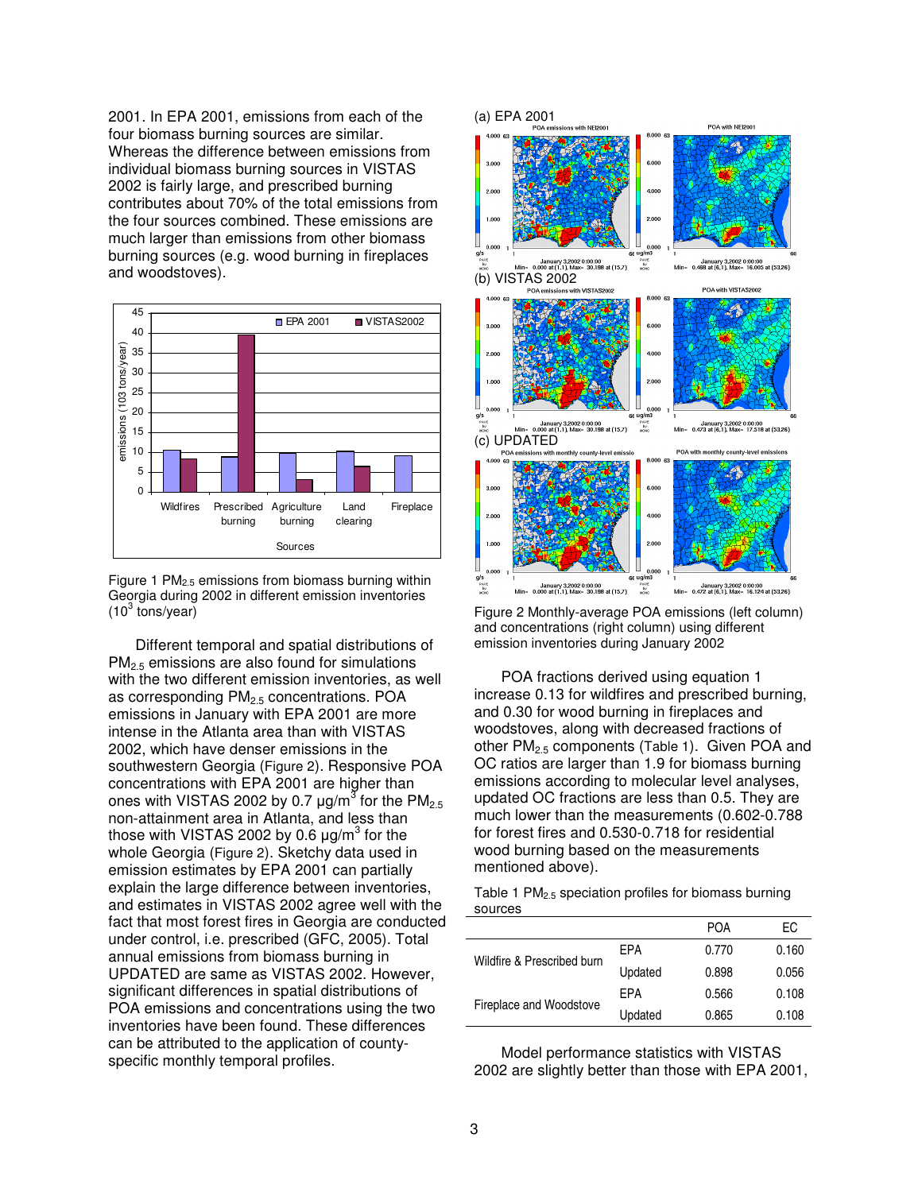2001. In EPA 2001, emissions from each of the four biomass burning sources are similar. Whereas the difference between emissions from individual biomass burning sources in VISTAS 2002 is fairly large, and prescribed burning contributes about 70% of the total emissions from the four sources combined. These emissions are much larger than emissions from other biomass burning sources (e.g. wood burning in fireplaces and woodstoves).





Different temporal and spatial distributions of PM2.5 emissions are also found for simulations with the two different emission inventories, as well as corresponding  $PM<sub>2.5</sub>$  concentrations. POA emissions in January with EPA 2001 are more intense in the Atlanta area than with VISTAS 2002, which have denser emissions in the southwestern Georgia (Figure 2). Responsive POA concentrations with EPA 2001 are higher than ones with VISTAS 2002 by 0.7  $\mu$ g/m $^3$  for the PM $_{2.5}$ non-attainment area in Atlanta, and less than those with VISTAS 2002 by 0.6  $\mu$ g/m $^3$  for the whole Georgia (Figure 2). Sketchy data used in emission estimates by EPA 2001 can partially explain the large difference between inventories, and estimates in VISTAS 2002 agree well with the fact that most forest fires in Georgia are conducted under control, i.e. prescribed (GFC, 2005). Total annual emissions from biomass burning in UPDATED are same as VISTAS 2002. However, significant differences in spatial distributions of POA emissions and concentrations using the two inventories have been found. These differences can be attributed to the application of countyspecific monthly temporal profiles.



Figure 2 Monthly-average POA emissions (left column) and concentrations (right column) using different emission inventories during January 2002

POA fractions derived using equation 1 increase 0.13 for wildfires and prescribed burning, and 0.30 for wood burning in fireplaces and woodstoves, along with decreased fractions of other PM<sub>2.5</sub> components (Table 1). Given POA and OC ratios are larger than 1.9 for biomass burning emissions according to molecular level analyses, updated OC fractions are less than 0.5. They are much lower than the measurements (0.602-0.788 for forest fires and 0.530-0.718 for residential wood burning based on the measurements mentioned above).

| Table 1 PM <sub>2.5</sub> speciation profiles for biomass burning |  |  |  |
|-------------------------------------------------------------------|--|--|--|
| sources                                                           |  |  |  |

|                            |         | <b>POA</b> | ЕC    |
|----------------------------|---------|------------|-------|
| Wildfire & Prescribed burn | FPA     | 0.770      | 0.160 |
|                            | Updated | 0.898      | 0.056 |
| Fireplace and Woodstove    | FPA     | 0.566      | 0.108 |
|                            | Updated | 0.865      | 0.108 |

Model performance statistics with VISTAS 2002 are slightly better than those with EPA 2001,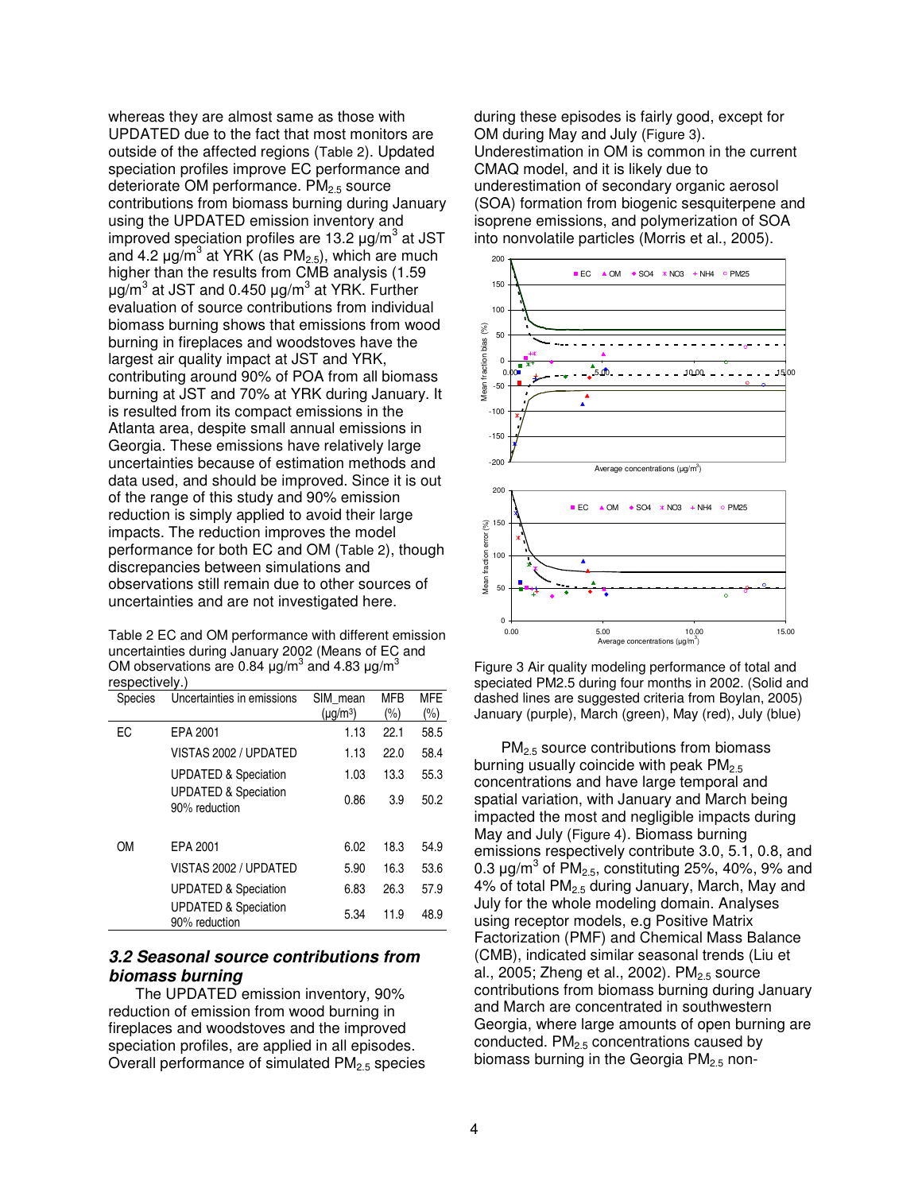whereas they are almost same as those with UPDATED due to the fact that most monitors are outside of the affected regions (Table 2). Updated speciation profiles improve EC performance and deteriorate OM performance.  $PM_{2.5}$  source contributions from biomass burning during January using the UPDATED emission inventory and improved speciation profiles are 13.2  $\mu$ g/m<sup>3</sup> at JST and 4.2  $\mu$ g/m<sup>3</sup> at YRK (as PM<sub>2.5</sub>), which are much higher than the results from CMB analysis (1.59 µg/m<sup>3</sup> at JST and 0.450 µg/m<sup>3</sup> at YRK. Further evaluation of source contributions from individual biomass burning shows that emissions from wood burning in fireplaces and woodstoves have the largest air quality impact at JST and YRK, contributing around 90% of POA from all biomass burning at JST and 70% at YRK during January. It is resulted from its compact emissions in the Atlanta area, despite small annual emissions in Georgia. These emissions have relatively large uncertainties because of estimation methods and data used, and should be improved. Since it is out of the range of this study and 90% emission reduction is simply applied to avoid their large impacts. The reduction improves the model performance for both EC and OM (Table 2), though discrepancies between simulations and observations still remain due to other sources of uncertainties and are not investigated here.

Table 2 EC and OM performance with different emission uncertainties during January 2002 (Means of EC and OM observations are 0.84  $\mu$ g/m<sup>3</sup> and 4.83  $\mu$ g/m<sup>3</sup> respectively.)

| Species | Uncertainties in emissions                       | SIM mean      | <b>MFB</b> | <b>MFE</b> |
|---------|--------------------------------------------------|---------------|------------|------------|
|         |                                                  | $(\mu g/m^3)$ | $(\% )$    | $(\% )$    |
| EC      | EPA 2001                                         | 1.13          | 22.1       | 58.5       |
|         | VISTAS 2002 / UPDATED                            | 1.13          | 22.0       | 58.4       |
|         | <b>UPDATED &amp; Speciation</b>                  | 1.03          | 13.3       | 55.3       |
|         | <b>UPDATED &amp; Speciation</b><br>90% reduction | 0.86          | 3.9        | 50.2       |
| ΟM      | EPA 2001                                         | 6.02          | 18.3       | 54.9       |
|         | VISTAS 2002 / UPDATED                            | 5.90          | 16.3       | 53.6       |
|         | <b>UPDATED &amp; Speciation</b>                  | 6.83          | 26.3       | 57.9       |
|         | <b>UPDATED &amp; Speciation</b><br>90% reduction | 5.34          | 11.9       | 48.9       |

# *3.2 Seasonal source contributions from biomass burning*

The UPDATED emission inventory, 90% reduction of emission from wood burning in fireplaces and woodstoves and the improved speciation profiles, are applied in all episodes. Overall performance of simulated  $PM<sub>2.5</sub>$  species during these episodes is fairly good, except for OM during May and July (Figure 3). Underestimation in OM is common in the current CMAQ model, and it is likely due to underestimation of secondary organic aerosol (SOA) formation from biogenic sesquiterpene and isoprene emissions, and polymerization of SOA into nonvolatile particles (Morris et al., 2005).



Figure 3 Air quality modeling performance of total and speciated PM2.5 during four months in 2002. (Solid and dashed lines are suggested criteria from Boylan, 2005) January (purple), March (green), May (red), July (blue)

PM<sub>2.5</sub> source contributions from biomass burning usually coincide with peak  $PM_{2.5}$ concentrations and have large temporal and spatial variation, with January and March being impacted the most and negligible impacts during May and July (Figure 4). Biomass burning emissions respectively contribute 3.0, 5.1, 0.8, and 0.3  $\mu$ g/m $^3$  of PM<sub>2.5</sub>, constituting 25%, 40%, 9% and 4% of total PM2.5 during January, March, May and July for the whole modeling domain. Analyses using receptor models, e.g Positive Matrix Factorization (PMF) and Chemical Mass Balance (CMB), indicated similar seasonal trends (Liu et al., 2005; Zheng et al., 2002).  $PM<sub>2.5</sub>$  source contributions from biomass burning during January and March are concentrated in southwestern Georgia, where large amounts of open burning are conducted. PM<sub>2.5</sub> concentrations caused by biomass burning in the Georgia  $PM<sub>2.5</sub>$  non-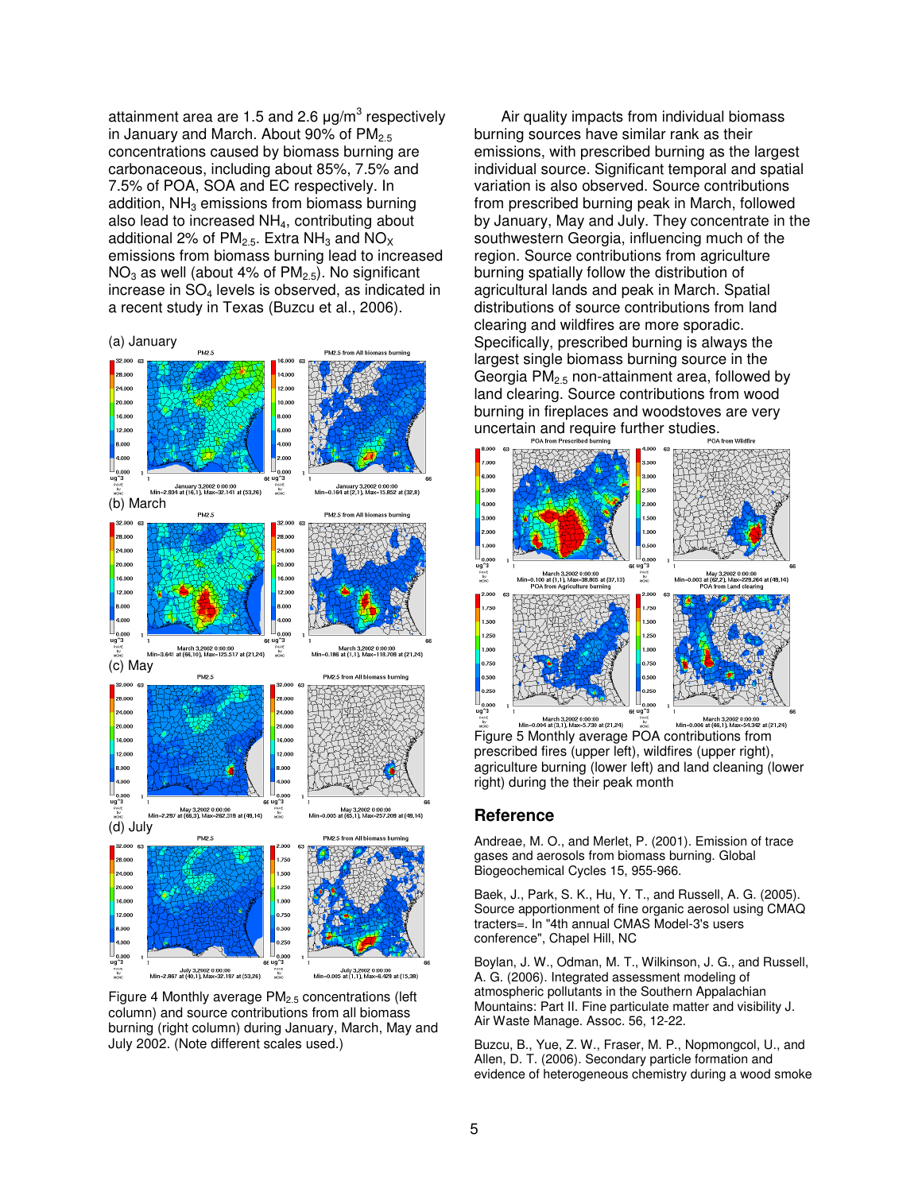attainment area are 1.5 and 2.6  $\mu$ g/m $^3$  respectively in January and March. About 90% of  $PM_{2.5}$ concentrations caused by biomass burning are carbonaceous, including about 85%, 7.5% and 7.5% of POA, SOA and EC respectively. In addition,  $NH<sub>3</sub>$  emissions from biomass burning also lead to increased NH<sub>4</sub>, contributing about additional 2% of  $PM<sub>2.5</sub>$ . Extra NH<sub>3</sub> and NO<sub>X</sub> emissions from biomass burning lead to increased  $NO<sub>3</sub>$  as well (about 4% of  $PM<sub>2.5</sub>$ ). No significant increase in  $SO<sub>4</sub>$  levels is observed, as indicated in a recent study in Texas (Buzcu et al., 2006).





Figure 4 Monthly average PM2.5 concentrations (left column) and source contributions from all biomass burning (right column) during January, March, May and July 2002. (Note different scales used.)

Air quality impacts from individual biomass burning sources have similar rank as their emissions, with prescribed burning as the largest individual source. Significant temporal and spatial variation is also observed. Source contributions from prescribed burning peak in March, followed by January, May and July. They concentrate in the southwestern Georgia, influencing much of the region. Source contributions from agriculture burning spatially follow the distribution of agricultural lands and peak in March. Spatial distributions of source contributions from land clearing and wildfires are more sporadic. Specifically, prescribed burning is always the largest single biomass burning source in the Georgia  $PM_{2.5}$  non-attainment area, followed by land clearing. Source contributions from wood burning in fireplaces and woodstoves are very uncertain and require further studies.



Figure 5 Monthly average POA contributions from prescribed fires (upper left), wildfires (upper right), agriculture burning (lower left) and land cleaning (lower right) during the their peak month

### **Reference**

Andreae, M. O., and Merlet, P. (2001). Emission of trace gases and aerosols from biomass burning. Global Biogeochemical Cycles 15, 955-966.

Baek, J., Park, S. K., Hu, Y. T., and Russell, A. G. (2005). Source apportionment of fine organic aerosol using CMAQ tracters=. In "4th annual CMAS Model-3's users conference", Chapel Hill, NC

Boylan, J. W., Odman, M. T., Wilkinson, J. G., and Russell, A. G. (2006). Integrated assessment modeling of atmospheric pollutants in the Southern Appalachian Mountains: Part II. Fine particulate matter and visibility J. Air Waste Manage. Assoc. 56, 12-22.

Buzcu, B., Yue, Z. W., Fraser, M. P., Nopmongcol, U., and Allen, D. T. (2006). Secondary particle formation and evidence of heterogeneous chemistry during a wood smoke